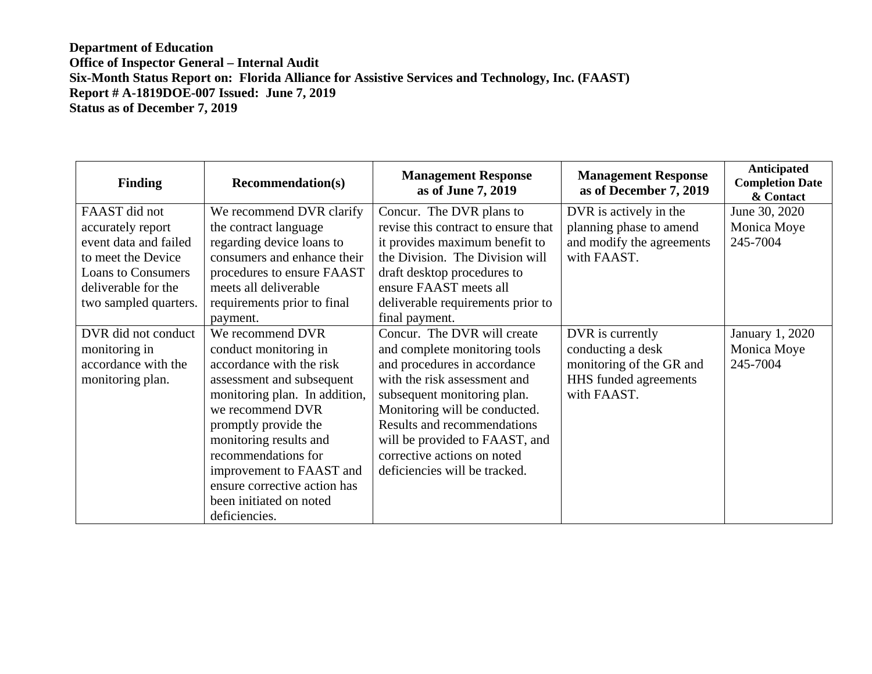## **Department of Education Office of Inspector General – Internal Audit Six-Month Status Report on: Florida Alliance for Assistive Services and Technology, Inc. (FAAST) Report # A-1819DOE-007 Issued: June 7, 2019 Status as of December 7, 2019**

| <b>Finding</b>                                                                                                                                                 | <b>Recommendation(s)</b>                                                                                                                                                                                                                                                                                                                 | <b>Management Response</b><br>as of June 7, 2019                                                                                                                                                                                                                                                                                     | <b>Management Response</b><br>as of December 7, 2019                                                      | <b>Anticipated</b><br><b>Completion Date</b><br>& Contact |
|----------------------------------------------------------------------------------------------------------------------------------------------------------------|------------------------------------------------------------------------------------------------------------------------------------------------------------------------------------------------------------------------------------------------------------------------------------------------------------------------------------------|--------------------------------------------------------------------------------------------------------------------------------------------------------------------------------------------------------------------------------------------------------------------------------------------------------------------------------------|-----------------------------------------------------------------------------------------------------------|-----------------------------------------------------------|
| FAAST did not<br>accurately report<br>event data and failed<br>to meet the Device<br><b>Loans to Consumers</b><br>deliverable for the<br>two sampled quarters. | We recommend DVR clarify<br>the contract language<br>regarding device loans to<br>consumers and enhance their<br>procedures to ensure FAAST<br>meets all deliverable<br>requirements prior to final<br>payment.                                                                                                                          | Concur. The DVR plans to<br>revise this contract to ensure that<br>it provides maximum benefit to<br>the Division. The Division will<br>draft desktop procedures to<br>ensure FAAST meets all<br>deliverable requirements prior to<br>final payment.                                                                                 | DVR is actively in the<br>planning phase to amend<br>and modify the agreements<br>with FAAST.             | June 30, 2020<br>Monica Moye<br>245-7004                  |
| DVR did not conduct<br>monitoring in<br>accordance with the<br>monitoring plan.                                                                                | We recommend DVR<br>conduct monitoring in<br>accordance with the risk<br>assessment and subsequent<br>monitoring plan. In addition,<br>we recommend DVR<br>promptly provide the<br>monitoring results and<br>recommendations for<br>improvement to FAAST and<br>ensure corrective action has<br>been initiated on noted<br>deficiencies. | Concur. The DVR will create<br>and complete monitoring tools<br>and procedures in accordance<br>with the risk assessment and<br>subsequent monitoring plan.<br>Monitoring will be conducted.<br><b>Results and recommendations</b><br>will be provided to FAAST, and<br>corrective actions on noted<br>deficiencies will be tracked. | DVR is currently<br>conducting a desk<br>monitoring of the GR and<br>HHS funded agreements<br>with FAAST. | January 1, 2020<br>Monica Moye<br>245-7004                |